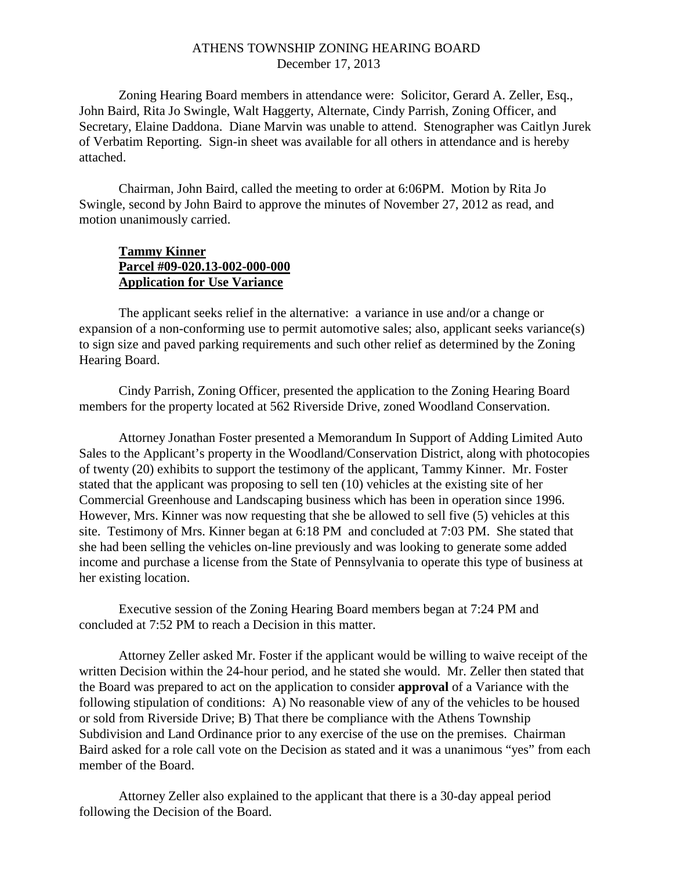## ATHENS TOWNSHIP ZONING HEARING BOARD December 17, 2013

Zoning Hearing Board members in attendance were: Solicitor, Gerard A. Zeller, Esq., John Baird, Rita Jo Swingle, Walt Haggerty, Alternate, Cindy Parrish, Zoning Officer, and Secretary, Elaine Daddona. Diane Marvin was unable to attend. Stenographer was Caitlyn Jurek of Verbatim Reporting. Sign-in sheet was available for all others in attendance and is hereby attached.

Chairman, John Baird, called the meeting to order at 6:06PM. Motion by Rita Jo Swingle, second by John Baird to approve the minutes of November 27, 2012 as read, and motion unanimously carried.

## **Tammy Kinner Parcel #09-020.13-002-000-000 Application for Use Variance**

 The applicant seeks relief in the alternative: a variance in use and/or a change or expansion of a non-conforming use to permit automotive sales; also, applicant seeks variance(s) to sign size and paved parking requirements and such other relief as determined by the Zoning Hearing Board.

 Cindy Parrish, Zoning Officer, presented the application to the Zoning Hearing Board members for the property located at 562 Riverside Drive, zoned Woodland Conservation.

 Attorney Jonathan Foster presented a Memorandum In Support of Adding Limited Auto Sales to the Applicant's property in the Woodland/Conservation District, along with photocopies of twenty (20) exhibits to support the testimony of the applicant, Tammy Kinner. Mr. Foster stated that the applicant was proposing to sell ten (10) vehicles at the existing site of her Commercial Greenhouse and Landscaping business which has been in operation since 1996. However, Mrs. Kinner was now requesting that she be allowed to sell five (5) vehicles at this site. Testimony of Mrs. Kinner began at 6:18 PM and concluded at 7:03 PM. She stated that she had been selling the vehicles on-line previously and was looking to generate some added income and purchase a license from the State of Pennsylvania to operate this type of business at her existing location.

 Executive session of the Zoning Hearing Board members began at 7:24 PM and concluded at 7:52 PM to reach a Decision in this matter.

 Attorney Zeller asked Mr. Foster if the applicant would be willing to waive receipt of the written Decision within the 24-hour period, and he stated she would. Mr. Zeller then stated that the Board was prepared to act on the application to consider **approval** of a Variance with the following stipulation of conditions: A) No reasonable view of any of the vehicles to be housed or sold from Riverside Drive; B) That there be compliance with the Athens Township Subdivision and Land Ordinance prior to any exercise of the use on the premises. Chairman Baird asked for a role call vote on the Decision as stated and it was a unanimous "yes" from each member of the Board.

 Attorney Zeller also explained to the applicant that there is a 30-day appeal period following the Decision of the Board.